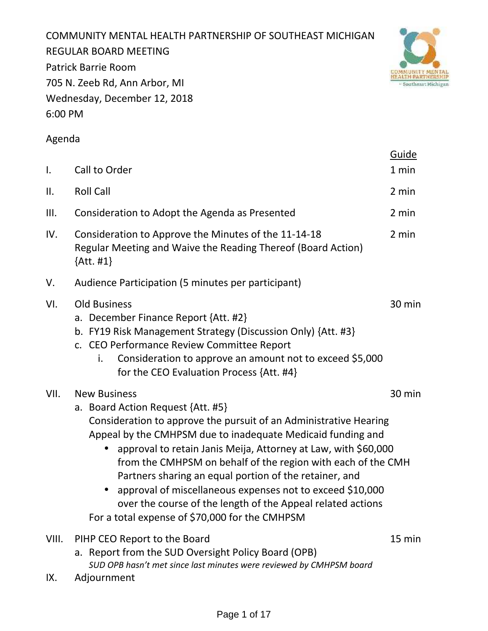COMMUNITY MENTAL HEALTH PARTNERSHIP OF SOUTHEAST MICHIGAN REGULAR BOARD MEETING Patrick Barrie Room 705 N. Zeeb Rd, Ann Arbor, MI Wednesday, December 12, 2018 6:00 PM



# Agenda

| Ι.           | Call to Order                                                                                                                                                                                                                                                                                                                                                                                                                                                                                                                                                          | <b>Guide</b><br>1 min |
|--------------|------------------------------------------------------------------------------------------------------------------------------------------------------------------------------------------------------------------------------------------------------------------------------------------------------------------------------------------------------------------------------------------------------------------------------------------------------------------------------------------------------------------------------------------------------------------------|-----------------------|
| ΙΙ.          | <b>Roll Call</b>                                                                                                                                                                                                                                                                                                                                                                                                                                                                                                                                                       | 2 min                 |
| III.         | Consideration to Adopt the Agenda as Presented                                                                                                                                                                                                                                                                                                                                                                                                                                                                                                                         | 2 min                 |
| IV.          | Consideration to Approve the Minutes of the 11-14-18<br>Regular Meeting and Waive the Reading Thereof (Board Action)<br>$\{Att. #1\}$                                                                                                                                                                                                                                                                                                                                                                                                                                  | 2 min                 |
| V.           | Audience Participation (5 minutes per participant)                                                                                                                                                                                                                                                                                                                                                                                                                                                                                                                     |                       |
| VI.          | <b>Old Business</b><br>a. December Finance Report {Att. #2}<br>b. FY19 Risk Management Strategy (Discussion Only) {Att. #3}<br>c. CEO Performance Review Committee Report<br>Consideration to approve an amount not to exceed \$5,000<br>i.<br>for the CEO Evaluation Process {Att. #4}                                                                                                                                                                                                                                                                                | 30 min                |
| VII.         | <b>New Business</b><br>a. Board Action Request {Att. #5}<br>Consideration to approve the pursuit of an Administrative Hearing<br>Appeal by the CMHPSM due to inadequate Medicaid funding and<br>approval to retain Janis Meija, Attorney at Law, with \$60,000<br>from the CMHPSM on behalf of the region with each of the CMH<br>Partners sharing an equal portion of the retainer, and<br>approval of miscellaneous expenses not to exceed \$10,000<br>over the course of the length of the Appeal related actions<br>For a total expense of \$70,000 for the CMHPSM | 30 min                |
| VIII.<br>IX. | PIHP CEO Report to the Board<br>a. Report from the SUD Oversight Policy Board (OPB)<br>SUD OPB hasn't met since last minutes were reviewed by CMHPSM board<br>Adjournment                                                                                                                                                                                                                                                                                                                                                                                              | 15 min                |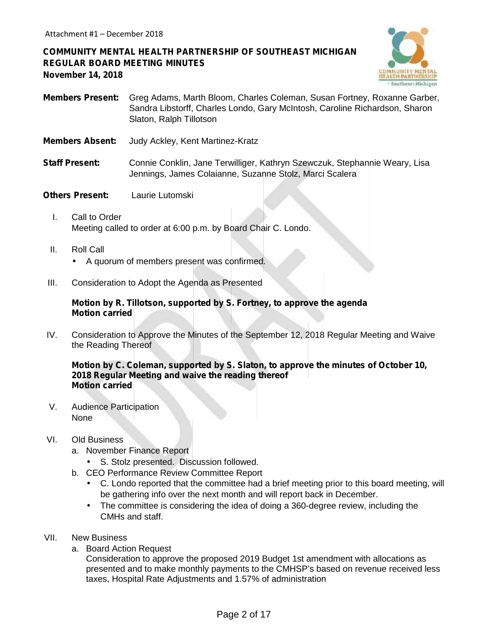**COMMUNITY MENTAL HEALTH PARTNERSHIP OF SOUTHEAST MICHIGAN REGULAR BOARD MEETING MINUTES November 14, 2018**



- **Members Present:** Greg Adams, Marth Bloom, Charles Coleman, Susan Fortney, Roxanne Garber, Sandra Libstorff, Charles Londo, Gary McIntosh, Caroline Richardson, Sharon Slaton, Ralph Tillotson
- **Members Absent:** Judy Ackley, Kent Martinez-Kratz
- **Staff Present:** Connie Conklin, Jane Terwilliger, Kathryn Szewczuk, Stephannie Weary, Lisa Jennings, James Colaianne, Suzanne Stolz, Marci Scalera
- **Others Present:** Laurie Lutomski
	- I. Call to Order Meeting called to order at 6:00 p.m. by Board Chair C. Londo.
	- II. Roll Call

A quorum of members present was confirmed.

III. Consideration to Adopt the Agenda as Presented

### **Motion by R. Tillotson, supported by S. Fortney, to approve the agenda Motion carried**

IV. Consideration to Approve the Minutes of the September 12, 2018 Regular Meeting and Waive the Reading Thereof

**Motion by C. Coleman, supported by S. Slaton, to approve the minutes of October 10, 2018 Regular Meeting and waive the reading thereof Motion carried**

V. Audience Participation None

### VI. Old Business

- a. November Finance Report
	- S. Stolz presented. Discussion followed.
- b. CEO Performance Review Committee Report
	- C. Londo reported that the committee had a brief meeting prior to this board meeting, will be gathering info over the next month and will report back in December.
	- The committee is considering the idea of doing a 360-degree review, including the CMHs and staff.
- VII. New Business
	- a. Board Action Request

Consideration to approve the proposed 2019 Budget 1st amendment with allocations as presented and to make monthly payments to the CMHSP's based on revenue received less taxes, Hospital Rate Adjustments and 1.57% of administration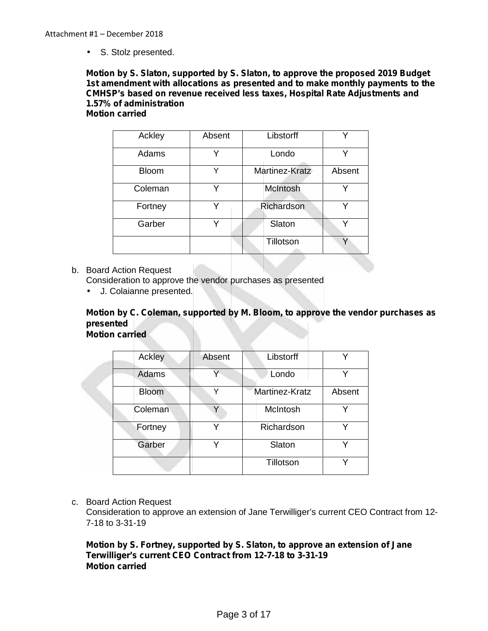S. Stolz presented.

#### **Motion by S. Slaton, supported by S. Slaton, to approve the proposed 2019 Budget 1st amendment with allocations as presented and to make monthly payments to the CMHSP's based on revenue received less taxes, Hospital Rate Adjustments and 1.57% of administration Motion carried**

| Ackley       | Absent | Libstorff       | v      |
|--------------|--------|-----------------|--------|
| Adams        | v      | Londo           | Y      |
| <b>Bloom</b> | Y      | Martinez-Kratz  | Absent |
| Coleman      | v      | <b>McIntosh</b> | ν      |
| Fortney      |        | Richardson      |        |
| Garber       | v      | Slaton          | v      |
|              |        | Tillotson       | Υ      |

b. Board Action Request

Consideration to approve the vendor purchases as presented

J. Colaianne presented.

### **Motion by C. Coleman, supported by M. Bloom, to approve the vendor purchases as presented Motion carried**

| Ackley       | Absent | Libstorff      |        |
|--------------|--------|----------------|--------|
| Adams        | Υ      | Londo          | v      |
| <b>Bloom</b> | Y      | Martinez-Kratz | Absent |
| Coleman      | Y      | McIntosh       |        |
| Fortney      | ∨      | Richardson     | v      |
| Garber       | ∨      | Slaton         |        |
|              |        | Tillotson      | v      |

### c. Board Action Request

Consideration to approve an extension of Jane Terwilliger's current CEO Contract from 12- 7-18 to 3-31-19

### **Motion by S. Fortney, supported by S. Slaton, to approve an extension of Jane Terwilliger's current CEO Contract from 12-7-18 to 3-31-19 Motion carried**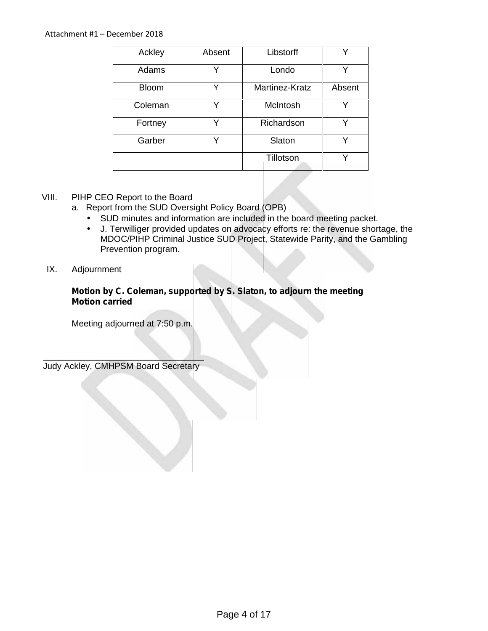| Ackley       | Absent | Libstorff       | v      |
|--------------|--------|-----------------|--------|
| Adams        | v      | Londo           | Y      |
| <b>Bloom</b> | Y      | Martinez-Kratz  | Absent |
| Coleman      | Y      | <b>McIntosh</b> | Y      |
| Fortney      | v      | Richardson      | v      |
| Garber       | v      | Slaton          | ◡      |
|              |        | Tillotson       |        |

### VIII. PIHP CEO Report to the Board

- a. Report from the SUD Oversight Policy Board (OPB)
	- SUD minutes and information are included in the board meeting packet.<br>J. J. Terwilliger provided updates on advocacy efforts re: the revenue short
	- J. Terwilliger provided updates on advocacy efforts re: the revenue shortage, the MDOC/PIHP Criminal Justice SUD Project, Statewide Parity, and the Gambling Prevention program.

### IX. Adjournment

**Motion by C. Coleman, supported by S. Slaton, to adjourn the meeting Motion carried**

Meeting adjourned at 7:50 p.m.

 $\mathcal{L} = \mathcal{L} \mathcal{L}$ Judy Ackley, CMHPSM Board Secretary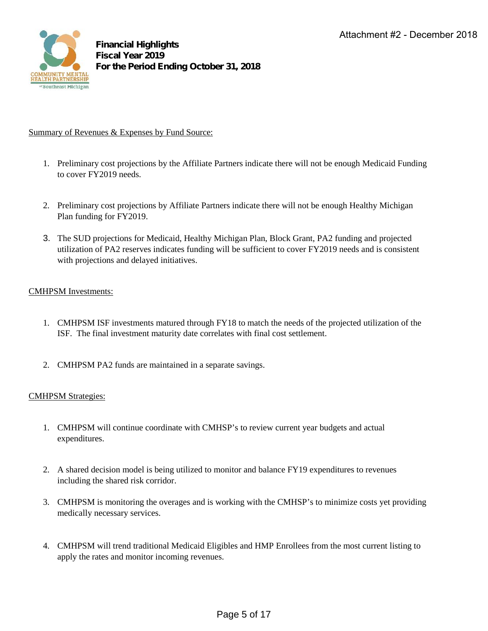

### Summary of Revenues & Expenses by Fund Source:

- 1. Preliminary cost projections by the Affiliate Partners indicate there will not be enough Medicaid Funding to cover FY2019 needs.
- 2. Preliminary cost projections by Affiliate Partners indicate there will not be enough Healthy Michigan Plan funding for FY2019.
- 3. The SUD projections for Medicaid, Healthy Michigan Plan, Block Grant, PA2 funding and projected utilization of PA2 reserves indicates funding will be sufficient to cover FY2019 needs and is consistent with projections and delayed initiatives.

### CMHPSM Investments:

- 1. CMHPSM ISF investments matured through FY18 to match the needs of the projected utilization of the ISF. The final investment maturity date correlates with final cost settlement.
- 2. CMHPSM PA2 funds are maintained in a separate savings.

### CMHPSM Strategies:

- 1. CMHPSM will continue coordinate with CMHSP's to review current year budgets and actual expenditures.
- 2. A shared decision model is being utilized to monitor and balance FY19 expenditures to revenues including the shared risk corridor.
- 3. CMHPSM is monitoring the overages and is working with the CMHSP's to minimize costs yet providing medically necessary services.
- 4. CMHPSM will trend traditional Medicaid Eligibles and HMP Enrollees from the most current listing to apply the rates and monitor incoming revenues.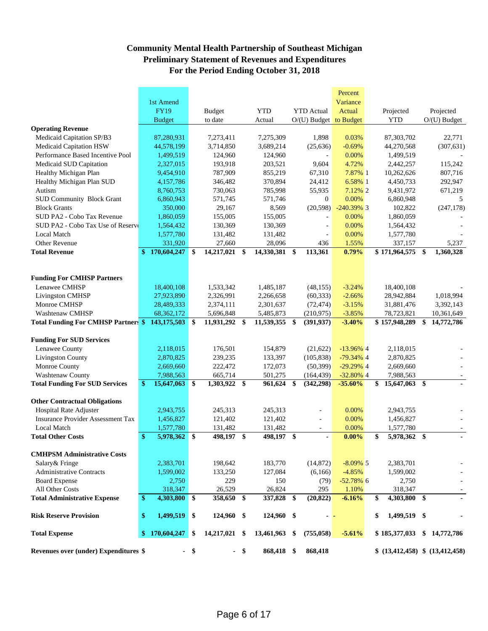### **Community Mental Health Partnership of Southeast Michigan Preliminary Statement of Revenues and Expenditures For the Period Ending October 31, 2018**

|                                                 |    |               |               |               |        |            |               |                          | Percent       |                                 |                  |
|-------------------------------------------------|----|---------------|---------------|---------------|--------|------------|---------------|--------------------------|---------------|---------------------------------|------------------|
|                                                 |    | 1st Amend     |               |               |        |            |               |                          | Variance      |                                 |                  |
|                                                 |    | <b>FY19</b>   |               | <b>Budget</b> |        | <b>YTD</b> |               | <b>YTD</b> Actual        | Actual        | Projected                       | Projected        |
|                                                 |    | <b>Budget</b> |               | to date       |        | Actual     |               | $O/(U)$ Budget to Budget |               | <b>YTD</b>                      | $O/(U)$ Budget   |
| <b>Operating Revenue</b>                        |    |               |               |               |        |            |               |                          |               |                                 |                  |
| Medicaid Capitation SP/B3                       |    | 87,280,931    |               | 7,273,411     |        | 7,275,309  |               | 1,898                    | 0.03%         | 87,303,702                      | 22,771           |
| Medicaid Capitation HSW                         |    | 44,578,199    |               | 3.714.850     |        | 3,689,214  |               | (25, 636)                | $-0.69%$      | 44,270,568                      | (307.631)        |
| Performance Based Incentive Pool                |    | 1,499,519     |               | 124,960       |        | 124,960    |               | $\bar{\phantom{a}}$      | 0.00%         | 1,499,519                       |                  |
| Medicaid SUD Capitation                         |    | 2,327,015     |               | 193,918       |        | 203,521    |               | 9,604                    | 4.72%         | 2,442,257                       | 115,242          |
| Healthy Michigan Plan                           |    | 9,454,910     |               | 787,909       |        | 855,219    |               | 67,310                   | 7.87% 1       | 10,262,626                      | 807,716          |
| Healthy Michigan Plan SUD                       |    | 4,157,786     |               | 346,482       |        | 370,894    |               | 24,412                   | 6.58% 1       | 4,450,733                       | 292,947          |
| Autism                                          |    | 8,760,753     |               | 730,063       |        | 785,998    |               | 55,935                   | 7.12% 2       | 9,431,972                       | 671,219          |
| <b>SUD Community Block Grant</b>                |    | 6,860,943     |               | 571,745       |        | 571,746    |               | $\mathbf{0}$             | 0.00%         | 6,860,948                       | 5                |
| <b>Block Grants</b>                             |    | 350,000       |               | 29,167        |        | 8,569      |               | (20, 598)                | $-240.39\%$ 3 | 102,822                         | (247, 178)       |
| SUD PA2 - Cobo Tax Revenue                      |    | 1,860,059     |               | 155,005       |        | 155,005    |               |                          | 0.00%         | 1,860,059                       |                  |
| SUD PA2 - Cobo Tax Use of Reserve               |    | 1,564,432     |               | 130,369       |        | 130,369    |               |                          | 0.00%         | 1,564,432                       |                  |
| <b>Local Match</b>                              |    | 1,577,780     |               | 131,482       |        | 131,482    |               |                          | 0.00%         | 1,577,780                       |                  |
| Other Revenue                                   |    | 331,920       |               | 27,660        |        | 28,096     |               | 436                      | 1.55%         | 337,157                         | 5,237            |
| <b>Total Revenue</b>                            | \$ | 170,604,247   | \$            | 14,217,021    | \$     | 14,330,381 | $\mathbf{\$}$ | 113,361                  | 0.79%         | $$171,964,575$ \\$              | 1,360,328        |
|                                                 |    |               |               |               |        |            |               |                          |               |                                 |                  |
|                                                 |    |               |               |               |        |            |               |                          |               |                                 |                  |
| <b>Funding For CMHSP Partners</b>               |    |               |               |               |        |            |               |                          |               |                                 |                  |
| Lenawee CMHSP                                   |    | 18,400,108    |               | 1,533,342     |        | 1,485,187  |               | (48, 155)                | $-3.24%$      | 18,400,108                      |                  |
| <b>Livingston CMHSP</b>                         |    | 27,923,890    |               | 2,326,991     |        | 2,266,658  |               | (60, 333)                | $-2.66%$      | 28,942,884                      | 1,018,994        |
| Monroe CMHSP                                    |    | 28,489,333    |               | 2,374,111     |        | 2,301,637  |               | (72, 474)                | $-3.15%$      | 31,881,476                      | 3,392,143        |
| Washtenaw CMHSP                                 |    | 68, 362, 172  |               | 5,696,848     |        | 5,485,873  |               | (210,975)                | $-3.85%$      | 78,723,821                      | 10,361,649       |
| <b>Total Funding For CMHSP Partners \$</b>      |    | 143,175,503   | \$            | 11,931,292    | \$     | 11,539,355 | \$            | (391, 937)               | $-3.40%$      | \$157,948,289                   | \$<br>14,772,786 |
|                                                 |    |               |               |               |        |            |               |                          |               |                                 |                  |
| <b>Funding For SUD Services</b>                 |    |               |               |               |        |            |               |                          |               |                                 |                  |
| Lenawee County                                  |    | 2,118,015     |               | 176,501       |        | 154,879    |               | (21,622)                 | $-13.96\%$ 4  | 2,118,015                       |                  |
| <b>Livingston County</b>                        |    | 2,870,825     |               | 239,235       |        | 133,397    |               | (105, 838)               | $-79.34\%$ 4  | 2,870,825                       |                  |
| Monroe County                                   |    | 2,669,660     |               | 222,472       |        | 172,073    |               | (50, 399)                | $-29.29\%$ 4  | 2,669,660                       |                  |
| Washtenaw County                                |    | 7,988,563     |               | 665,714       |        | 501,275    |               | (164, 439)               | $-32.80\%$ 4  | 7,988,563                       |                  |
| <b>Total Funding For SUD Services</b>           | S. | 15,647,063    | \$            | 1,303,922     | \$     | 961,624    | \$            | (342, 298)               | $-35.60%$     | \$<br>15,647,063 \$             |                  |
|                                                 |    |               |               |               |        |            |               |                          |               |                                 |                  |
| <b>Other Contractual Obligations</b>            |    |               |               |               |        |            |               |                          |               |                                 |                  |
| <b>Hospital Rate Adjuster</b>                   |    | 2,943,755     |               | 245,313       |        | 245,313    |               | ÷                        | 0.00%         | 2,943,755                       |                  |
| <b>Insurance Provider Assessment Tax</b>        |    | 1,456,827     |               | 121,402       |        | 121,402    |               | ÷,                       | 0.00%         | 1,456,827                       |                  |
| Local Match                                     |    | 1,577,780     |               | 131,482       |        | 131,482    |               |                          | 0.00%         | 1,577,780                       |                  |
| <b>Total Other Costs</b>                        | \$ | 5,978,362     | $\mathbf{\$}$ | 498,197 \$    |        | 498,197 \$ |               | $\blacksquare$           | $0.00\%$      | \$<br>5,978,362 \$              |                  |
|                                                 |    |               |               |               |        |            |               |                          |               |                                 |                  |
| <b>CMHPSM Administrative Costs</b>              |    |               |               |               |        |            |               |                          |               |                                 |                  |
| Salary & Fringe                                 |    | 2,383,701     |               | 198,642       |        | 183,770    |               | (14, 872)                | $-8.09\%$ 5   | 2,383,701                       |                  |
| <b>Administrative Contracts</b>                 |    | 1,599,002     |               | 133,250       |        | 127,084    |               | (6,166)                  | $-4.85%$      | 1,599,002                       |                  |
| <b>Board Expense</b>                            |    | 2,750         |               | 229           |        | 150        |               | (79)                     | $-52.78\%$ 6  | 2,750                           |                  |
| All Other Costs                                 |    | 318,347       |               | 26,529        |        | 26,824     |               | 295                      | 1.10%         | 318,347                         |                  |
| <b>Total Administrative Expense</b>             | \$ | 4,303,800     | \$            | 358,650       | \$     | 337,828    | \$            | (20, 822)                | $-6.16%$      | \$<br>4,303,800 \$              |                  |
| <b>Risk Reserve Provision</b>                   | \$ | 1,499,519     | $\frac{1}{2}$ | 124,960 \$    |        | 124,960 \$ |               | - -                      |               | \$<br>1,499,519 \$              |                  |
| <b>Total Expense</b>                            | \$ | 170,604,247   | \$            | 14,217,021 \$ |        | 13,461,963 | \$            | (755, 058)               | $-5.61%$      | \$185,377,033                   | \$14,772,786     |
| $-$ \$<br>Revenues over (under) Expenditures \$ |    |               |               |               | $-$ \$ | 868,418 \$ |               | 868,418                  |               | \$ (13,412,458) \$ (13,412,458) |                  |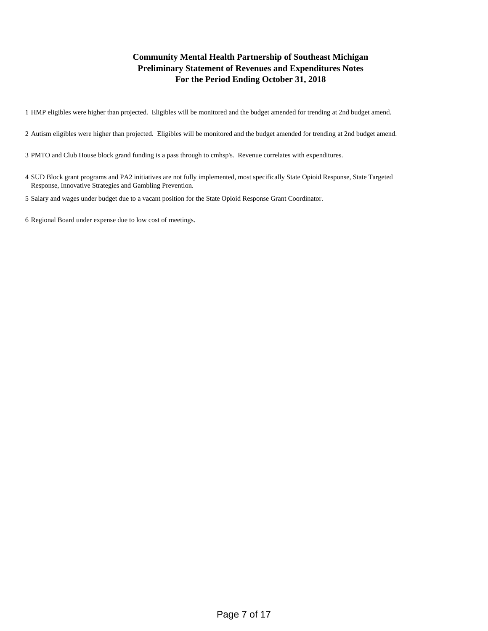### **Community Mental Health Partnership of Southeast Michigan Preliminary Statement of Revenues and Expenditures Notes For the Period Ending October 31, 2018**

1 HMP eligibles were higher than projected. Eligibles will be monitored and the budget amended for trending at 2nd budget amend.

- 2 Autism eligibles were higher than projected. Eligibles will be monitored and the budget amended for trending at 2nd budget amend.
- 3 PMTO and Club House block grand funding is a pass through to cmhsp's. Revenue correlates with expenditures.
- 4 SUD Block grant programs and PA2 initiatives are not fully implemented, most specifically State Opioid Response, State Targeted Response, Innovative Strategies and Gambling Prevention.
- 5 Salary and wages under budget due to a vacant position for the State Opioid Response Grant Coordinator.

6 Regional Board under expense due to low cost of meetings.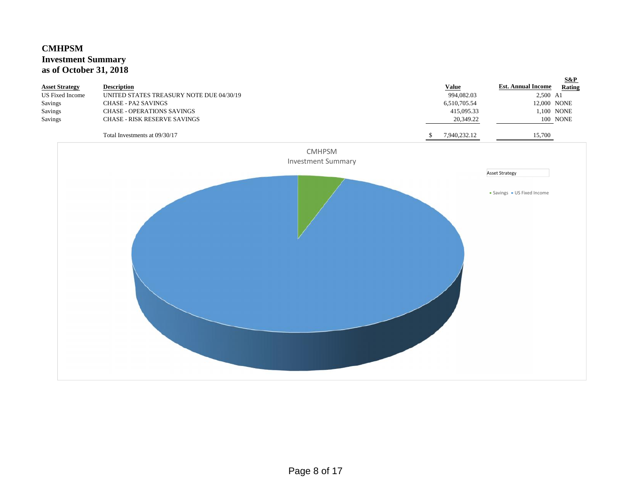# **CMHPSM Investment Summary as of October 31, 2018**

| <b>Asset Strategy</b><br><b>US</b> Fixed Income<br>Savings<br>Savings<br>Savings | <b>Description</b><br>UNITED STATES TREASURY NOTE DUE 04/30/19<br><b>CHASE - PA2 SAVINGS</b><br><b>CHASE - OPERATIONS SAVINGS</b><br>CHASE - RISK RESERVE SAVINGS |                                            | <b>Value</b><br>994,082.03<br>6,510,705.54<br>415,095.33<br>20,349.22 | $S\&P$<br><b>Est. Annual Income</b><br>Rating<br>2,500 A1<br>12,000 NONE<br>1,100 NONE<br>100 NONE |
|----------------------------------------------------------------------------------|-------------------------------------------------------------------------------------------------------------------------------------------------------------------|--------------------------------------------|-----------------------------------------------------------------------|----------------------------------------------------------------------------------------------------|
|                                                                                  | Total Investments at 09/30/17                                                                                                                                     |                                            | 7,940,232.12<br><sup>\$</sup>                                         | 15,700                                                                                             |
|                                                                                  |                                                                                                                                                                   | <b>CMHPSM</b><br><b>Investment Summary</b> |                                                                       |                                                                                                    |
|                                                                                  |                                                                                                                                                                   |                                            |                                                                       | <b>Asset Strategy</b>                                                                              |
|                                                                                  |                                                                                                                                                                   |                                            |                                                                       | · Savings · US Fixed Income                                                                        |
|                                                                                  |                                                                                                                                                                   |                                            |                                                                       |                                                                                                    |
|                                                                                  |                                                                                                                                                                   |                                            |                                                                       |                                                                                                    |
|                                                                                  |                                                                                                                                                                   |                                            |                                                                       |                                                                                                    |
|                                                                                  |                                                                                                                                                                   |                                            |                                                                       |                                                                                                    |
|                                                                                  |                                                                                                                                                                   |                                            |                                                                       |                                                                                                    |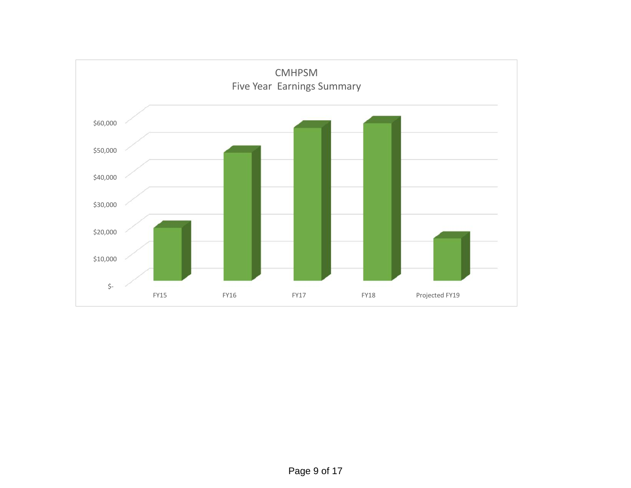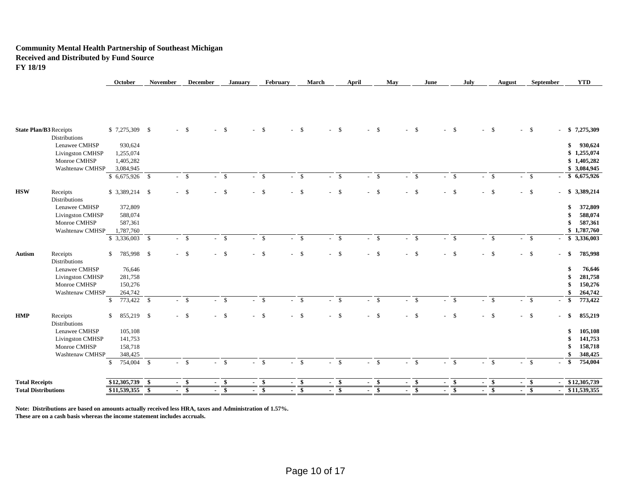#### **Community Mental Health Partnership of Southeast Michigan Received and Distributed by Fund Source FY 18/19**

| <b>Total Receipts</b>                   |                            |      |        |        |              |        |        |        |              |      |        |        |              |        |        |               |        |        |                                         |
|-----------------------------------------|----------------------------|------|--------|--------|--------------|--------|--------|--------|--------------|------|--------|--------|--------------|--------|--------|---------------|--------|--------|-----------------------------------------|
|                                         | \$12,305,739               | - \$ |        | $-$ \$ | $-$ \$       | $\sim$ | - \$   |        | $-$ \$       |      | $-$ \$ | $-$ \$ |              | $-$ \$ | $-$ \$ |               | $-$ \$ | $-$ \$ | \$12,305,739                            |
|                                         |                            |      |        |        |              |        |        |        |              |      |        |        |              |        |        |               |        |        |                                         |
|                                         | $\mathbb{S}$<br>754,004 \$ |      | $-$ \$ |        | $\mathbf{s}$ | $\sim$ | \$     | $\sim$ | $\mathbf{s}$ |      | $-$ \$ | $\sim$ | $\mathbf{s}$ | $-$ \$ | $\sim$ | $\mathcal{S}$ | $-$ \$ | $-$ \$ | 754,004<br>-S                           |
| <b>Washtenaw CMHSP</b>                  | 348,425                    |      |        |        |              |        |        |        |              |      |        |        |              |        |        |               |        |        | 348,425                                 |
| <b>Livingston CMHSP</b><br>Monroe CMHSP | 141,753<br>158,718         |      |        |        |              |        |        |        |              |      |        |        |              |        |        |               |        |        | 158,718                                 |
|                                         | 105,108                    |      |        |        |              |        |        |        |              |      |        |        |              |        |        |               |        |        | 105,108<br>141,753                      |
| <b>Distributions</b><br>Lenawee CMHSP   |                            |      |        |        |              |        |        |        |              |      |        |        |              |        |        |               |        |        |                                         |
| <b>HMP</b><br>Receipts                  | $\mathbb{S}$<br>855,219 \$ |      |        | $-5$   | $-5$         |        | $-$ \$ |        | $-5$         |      | $-$ \$ | $-5$   |              | $-$ \$ | $-$ \$ |               | $-$ \$ | $-$ \$ | 855,219<br>\$                           |
|                                         | $\mathbb{S}$<br>773,422 \$ |      |        | $-5$   | $-$ \$       |        | $-$ \$ |        | $-$ \$       |      | $-$ \$ | $-$ \$ |              | $-$ \$ | $-$ \$ |               | $-$ \$ | $-$ \$ | 773,422<br>-S<br>$\sim$                 |
| <b>Washtenaw CMHSP</b>                  | 264,742                    |      |        |        |              |        |        |        |              |      |        |        |              |        |        |               |        |        | 264,742                                 |
| Monroe CMHSP                            | 150,276                    |      |        |        |              |        |        |        |              |      |        |        |              |        |        |               |        |        | 150,276                                 |
| Livingston CMHSP                        | 281,758                    |      |        |        |              |        |        |        |              |      |        |        |              |        |        |               |        |        | 281,758                                 |
| Lenawee CMHSP                           | 76,646                     |      |        |        |              |        |        |        |              |      |        |        |              |        |        |               |        |        | 76,646                                  |
| <b>Distributions</b>                    |                            |      |        |        |              |        |        |        |              |      |        |        |              |        |        |               |        |        |                                         |
| Receipts<br>Autism                      | 785,998 \$<br>\$           |      | $-$ \$ |        | $-$ \$       |        | $-$ \$ |        | $-5$         | $-5$ |        | $-5$   |              | $-5$   | $-$ \$ |               | $-$ \$ | $-$ \$ | 785,998<br>\$.<br>÷.                    |
|                                         |                            |      |        | $-$ \$ | $-$ \$       |        | $-$ \$ |        | $-$ \$       |      | $-$ \$ | $-$ \$ |              | $-$ \$ | $-$ \$ |               | $-$ \$ | $-$ \$ | \$3,336,003<br>$\sim$                   |
| Washtenaw CMHSP                         | 1,787,760                  |      |        |        |              |        |        |        |              |      |        |        |              |        |        |               |        |        | \$1,787,760                             |
| Monroe CMHSP                            | 587,361                    |      |        |        |              |        |        |        |              |      |        |        |              |        |        |               |        |        | 587,361                                 |
| <b>Livingston CMHSP</b>                 | 588,074                    |      |        |        |              |        |        |        |              |      |        |        |              |        |        |               |        |        | 588,074                                 |
| Lenawee CMHSP                           | 372,809                    |      |        |        |              |        |        |        |              |      |        |        |              |        |        |               |        |        | 372,809<br>\$                           |
| <b>Distributions</b>                    |                            |      |        |        |              |        |        |        |              |      |        |        |              |        |        |               |        |        |                                         |
| <b>HSW</b><br>Receipts                  | $$3,389,214$ \\$           |      |        | $-$ \$ | $-$ \$       |        | $-$ \$ |        | $-5$         | $-5$ |        | $-$ \$ |              | $-$ \$ | $-$ \$ |               | $-$ \$ | $-$ \$ | \$3,389,214<br>$\overline{\phantom{a}}$ |
|                                         | $$6,675,926$ \;            |      |        | $-5$   | $-$ \$       |        | - \$   |        | <b>S</b>     |      | $-$ \$ | $-$ \$ |              | $-$ \$ |        | $\mathbf{s}$  | $-$ \$ | $-$ \$ | \$6,675,926                             |
| Washtenaw CMHSP                         | 3,084,945                  |      |        |        |              |        |        |        |              |      |        |        |              |        |        |               |        |        | \$3,084,945                             |
| Monroe CMHSP                            | 1,405,282                  |      |        |        |              |        |        |        |              |      |        |        |              |        |        |               |        |        | \$1,405,282                             |
| Livingston CMHSP                        | 1,255,074                  |      |        |        |              |        |        |        |              |      |        |        |              |        |        |               |        |        | \$1,255,074                             |
| Lenawee CMHSP                           | 930,624                    |      |        |        |              |        |        |        |              |      |        |        |              |        |        |               |        |        | 930,624<br>\$                           |
| <b>Distributions</b>                    |                            |      |        |        |              |        |        |        |              |      |        |        |              |        |        |               |        |        |                                         |
| <b>State Plan/B3 Receipts</b>           | $$7,275,309$ \ \$          |      |        | $-$ \$ | $-$ \$       |        | $-$ \$ |        | $-$ \$       | $-5$ |        | $-5$   |              | $-$ \$ | $-5$   |               | $-$ \$ | $-$ \$ | \$7,275,309<br>$\sim$                   |

**October November December January February March April May June July August September YTD**

**Note: Distributions are based on amounts actually received less HRA, taxes and Administration of 1.57%.**

**These are on a cash basis whereas the income statement includes accruals.**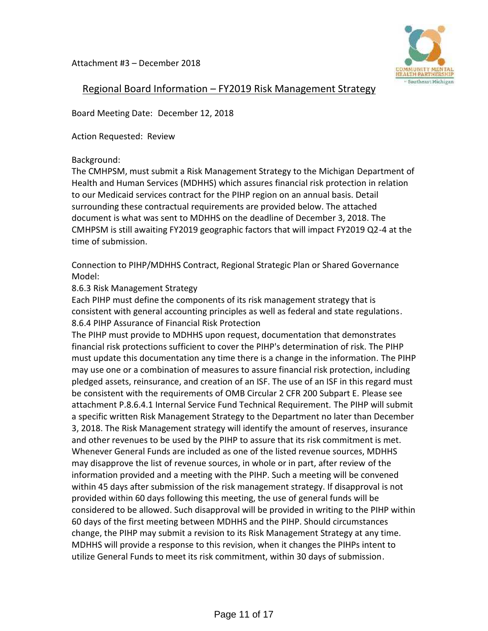Attachment #3 – December 2018



# Regional Board Information – FY2019 Risk Management Strategy

Board Meeting Date: December 12, 2018

Action Requested: Review

## Background:

The CMHPSM, must submit a Risk Management Strategy to the Michigan Department of Health and Human Services (MDHHS) which assures financial risk protection in relation to our Medicaid services contract for the PIHP region on an annual basis. Detail surrounding these contractual requirements are provided below. The attached document is what was sent to MDHHS on the deadline of December 3, 2018. The CMHPSM is still awaiting FY2019 geographic factors that will impact FY2019 Q2-4 at the time of submission.

Connection to PIHP/MDHHS Contract, Regional Strategic Plan or Shared Governance Model:

## 8.6.3 Risk Management Strategy

Each PIHP must define the components of its risk management strategy that is consistent with general accounting principles as well as federal and state regulations. 8.6.4 PIHP Assurance of Financial Risk Protection

The PIHP must provide to MDHHS upon request, documentation that demonstrates financial risk protections sufficient to cover the PIHP's determination of risk. The PIHP must update this documentation any time there is a change in the information. The PIHP may use one or a combination of measures to assure financial risk protection, including pledged assets, reinsurance, and creation of an ISF. The use of an ISF in this regard must be consistent with the requirements of OMB Circular 2 CFR 200 Subpart E. Please see attachment P.8.6.4.1 Internal Service Fund Technical Requirement. The PIHP will submit a specific written Risk Management Strategy to the Department no later than December 3, 2018. The Risk Management strategy will identify the amount of reserves, insurance and other revenues to be used by the PIHP to assure that its risk commitment is met. Whenever General Funds are included as one of the listed revenue sources, MDHHS may disapprove the list of revenue sources, in whole or in part, after review of the information provided and a meeting with the PIHP. Such a meeting will be convened within 45 days after submission of the risk management strategy. If disapproval is not provided within 60 days following this meeting, the use of general funds will be considered to be allowed. Such disapproval will be provided in writing to the PIHP within 60 days of the first meeting between MDHHS and the PIHP. Should circumstances change, the PIHP may submit a revision to its Risk Management Strategy at any time. MDHHS will provide a response to this revision, when it changes the PIHPs intent to utilize General Funds to meet its risk commitment, within 30 days of submission.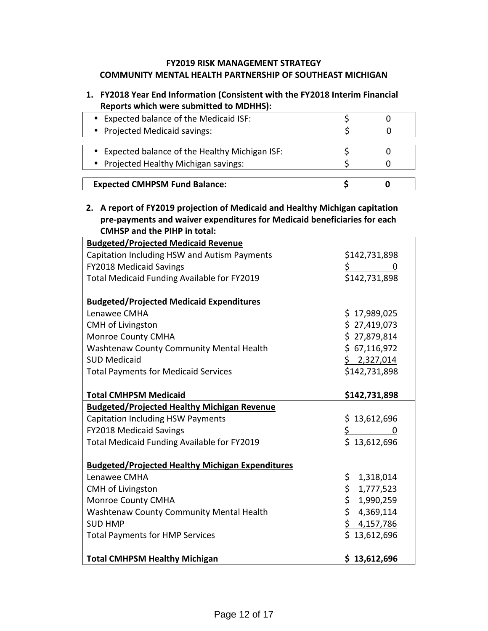### **FY2019 RISK MANAGEMENT STRATEGY COMMUNITY MENTAL HEALTH PARTNERSHIP OF SOUTHEAST MICHIGAN**

# **1. FY2018 Year End Information (Consistent with the FY2018 Interim Financial Reports which were submitted to MDHHS):**

| Expected balance of the Medicaid ISF:         |  |
|-----------------------------------------------|--|
| Projected Medicaid savings:                   |  |
|                                               |  |
| Expected balance of the Healthy Michigan ISF: |  |
| Projected Healthy Michigan savings:           |  |
|                                               |  |
| <b>Expected CMHPSM Fund Balance:</b>          |  |

### **2. A report of FY2019 projection of Medicaid and Healthy Michigan capitation pre-payments and waiver expenditures for Medicaid beneficiaries for each CMHSP and the PIHP in total:**

| <b>Budgeted/Projected Medicaid Revenue</b>              |                       |
|---------------------------------------------------------|-----------------------|
| Capitation Including HSW and Autism Payments            | \$142,731,898         |
| <b>FY2018 Medicaid Savings</b>                          | $\frac{1}{2}$ 0       |
| Total Medicaid Funding Available for FY2019             | \$142,731,898         |
| <b>Budgeted/Projected Medicaid Expenditures</b>         |                       |
| Lenawee CMHA                                            | \$17,989,025          |
| <b>CMH of Livingston</b>                                | \$27,419,073          |
| <b>Monroe County CMHA</b>                               | \$27,879,814          |
| Washtenaw County Community Mental Health                | \$67,116,972          |
| <b>SUD Medicaid</b>                                     | \$2,327,014           |
| <b>Total Payments for Medicaid Services</b>             | \$142,731,898         |
| <b>Total CMHPSM Medicaid</b>                            | \$142,731,898         |
| <b>Budgeted/Projected Healthy Michigan Revenue</b>      |                       |
| <b>Capitation Including HSW Payments</b>                | \$13,612,696          |
| <b>FY2018 Medicaid Savings</b>                          | $\frac{\zeta}{\zeta}$ |
| Total Medicaid Funding Available for FY2019             | \$13,612,696          |
| <b>Budgeted/Projected Healthy Michigan Expenditures</b> |                       |
| Lenawee CMHA                                            | \$.<br>1,318,014      |
| <b>CMH of Livingston</b>                                | \$1,777,523           |
| Monroe County CMHA                                      | \$<br>1,990,259       |
| Washtenaw County Community Mental Health                | \$4,369,114           |
| <b>SUD HMP</b>                                          | \$4,157,786           |
| <b>Total Payments for HMP Services</b>                  | \$13,612,696          |
| <b>Total CMHPSM Healthy Michigan</b>                    | \$13,612,696          |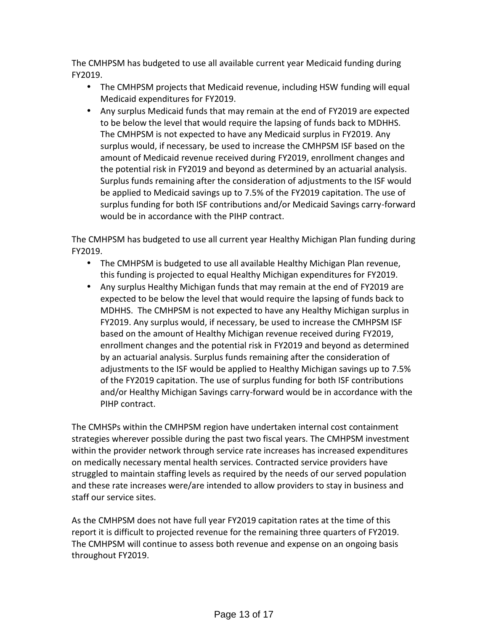The CMHPSM has budgeted to use all available current year Medicaid funding during FY2019.

- The CMHPSM projects that Medicaid revenue, including HSW funding will equal Medicaid expenditures for FY2019.
- Any surplus Medicaid funds that may remain at the end of FY2019 are expected to be below the level that would require the lapsing of funds back to MDHHS. The CMHPSM is not expected to have any Medicaid surplus in FY2019. Any surplus would, if necessary, be used to increase the CMHPSM ISF based on the amount of Medicaid revenue received during FY2019, enrollment changes and the potential risk in FY2019 and beyond as determined by an actuarial analysis. Surplus funds remaining after the consideration of adjustments to the ISF would be applied to Medicaid savings up to 7.5% of the FY2019 capitation. The use of surplus funding for both ISF contributions and/or Medicaid Savings carry-forward would be in accordance with the PIHP contract.

The CMHPSM has budgeted to use all current year Healthy Michigan Plan funding during FY2019.

- The CMHPSM is budgeted to use all available Healthy Michigan Plan revenue, this funding is projected to equal Healthy Michigan expenditures for FY2019.
- Any surplus Healthy Michigan funds that may remain at the end of FY2019 are expected to be below the level that would require the lapsing of funds back to MDHHS. The CMHPSM is not expected to have any Healthy Michigan surplus in FY2019. Any surplus would, if necessary, be used to increase the CMHPSM ISF based on the amount of Healthy Michigan revenue received during FY2019, enrollment changes and the potential risk in FY2019 and beyond as determined by an actuarial analysis. Surplus funds remaining after the consideration of adjustments to the ISF would be applied to Healthy Michigan savings up to 7.5% of the FY2019 capitation. The use of surplus funding for both ISF contributions and/or Healthy Michigan Savings carry-forward would be in accordance with the PIHP contract.

The CMHSPs within the CMHPSM region have undertaken internal cost containment strategies wherever possible during the past two fiscal years. The CMHPSM investment within the provider network through service rate increases has increased expenditures on medically necessary mental health services. Contracted service providers have struggled to maintain staffing levels as required by the needs of our served population and these rate increases were/are intended to allow providers to stay in business and staff our service sites.

As the CMHPSM does not have full year FY2019 capitation rates at the time of this report it is difficult to projected revenue for the remaining three quarters of FY2019. The CMHPSM will continue to assess both revenue and expense on an ongoing basis throughout FY2019.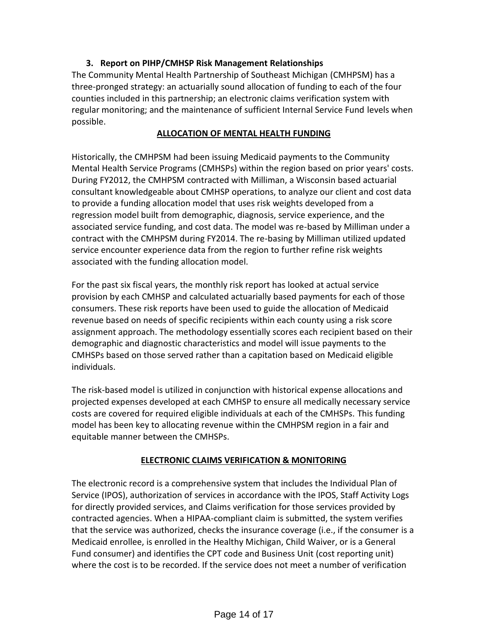# **3. Report on PIHP/CMHSP Risk Management Relationships**

The Community Mental Health Partnership of Southeast Michigan (CMHPSM) has a three-pronged strategy: an actuarially sound allocation of funding to each of the four counties included in this partnership; an electronic claims verification system with regular monitoring; and the maintenance of sufficient Internal Service Fund levels when possible.

### **ALLOCATION OF MENTAL HEALTH FUNDING**

Historically, the CMHPSM had been issuing Medicaid payments to the Community Mental Health Service Programs (CMHSPs) within the region based on prior years' costs. During FY2012, the CMHPSM contracted with Milliman, a Wisconsin based actuarial consultant knowledgeable about CMHSP operations, to analyze our client and cost data to provide a funding allocation model that uses risk weights developed from a regression model built from demographic, diagnosis, service experience, and the associated service funding, and cost data. The model was re-based by Milliman under a contract with the CMHPSM during FY2014. The re-basing by Milliman utilized updated service encounter experience data from the region to further refine risk weights associated with the funding allocation model.

For the past six fiscal years, the monthly risk report has looked at actual service provision by each CMHSP and calculated actuarially based payments for each of those consumers. These risk reports have been used to guide the allocation of Medicaid revenue based on needs of specific recipients within each county using a risk score assignment approach. The methodology essentially scores each recipient based on their demographic and diagnostic characteristics and model will issue payments to the CMHSPs based on those served rather than a capitation based on Medicaid eligible individuals.

The risk-based model is utilized in conjunction with historical expense allocations and projected expenses developed at each CMHSP to ensure all medically necessary service costs are covered for required eligible individuals at each of the CMHSPs. This funding model has been key to allocating revenue within the CMHPSM region in a fair and equitable manner between the CMHSPs.

## **ELECTRONIC CLAIMS VERIFICATION & MONITORING**

The electronic record is a comprehensive system that includes the Individual Plan of Service (IPOS), authorization of services in accordance with the IPOS, Staff Activity Logs for directly provided services, and Claims verification for those services provided by contracted agencies. When a HIPAA-compliant claim is submitted, the system verifies that the service was authorized, checks the insurance coverage (i.e., if the consumer is a Medicaid enrollee, is enrolled in the Healthy Michigan, Child Waiver, or is a General Fund consumer) and identifies the CPT code and Business Unit (cost reporting unit) where the cost is to be recorded. If the service does not meet a number of verification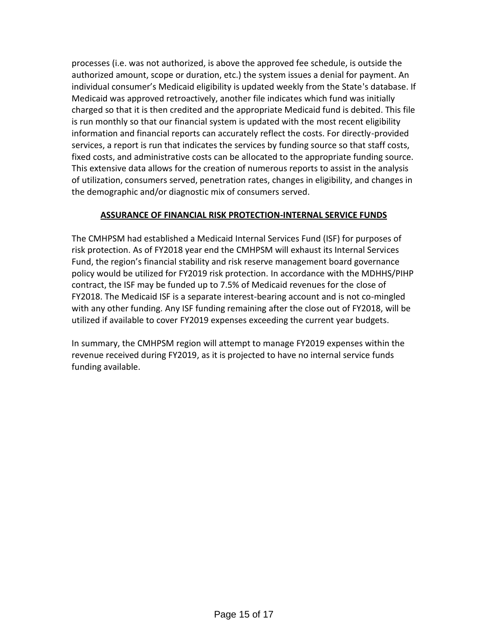processes (i.e. was not authorized, is above the approved fee schedule, is outside the authorized amount, scope or duration, etc.) the system issues a denial for payment. An individual consumer's Medicaid eligibility is updated weekly from the State's database. If Medicaid was approved retroactively, another file indicates which fund was initially charged so that it is then credited and the appropriate Medicaid fund is debited. This file is run monthly so that our financial system is updated with the most recent eligibility information and financial reports can accurately reflect the costs. For directly-provided services, a report is run that indicates the services by funding source so that staff costs, fixed costs, and administrative costs can be allocated to the appropriate funding source. This extensive data allows for the creation of numerous reports to assist in the analysis of utilization, consumers served, penetration rates, changes in eligibility, and changes in the demographic and/or diagnostic mix of consumers served.

### **ASSURANCE OF FINANCIAL RISK PROTECTION-INTERNAL SERVICE FUNDS**

The CMHPSM had established a Medicaid Internal Services Fund (ISF) for purposes of risk protection. As of FY2018 year end the CMHPSM will exhaust its Internal Services Fund, the region's financial stability and risk reserve management board governance policy would be utilized for FY2019 risk protection. In accordance with the MDHHS/PIHP contract, the ISF may be funded up to 7.5% of Medicaid revenues for the close of FY2018. The Medicaid ISF is a separate interest-bearing account and is not co-mingled with any other funding. Any ISF funding remaining after the close out of FY2018, will be utilized if available to cover FY2019 expenses exceeding the current year budgets.

In summary, the CMHPSM region will attempt to manage FY2019 expenses within the revenue received during FY2019, as it is projected to have no internal service funds funding available.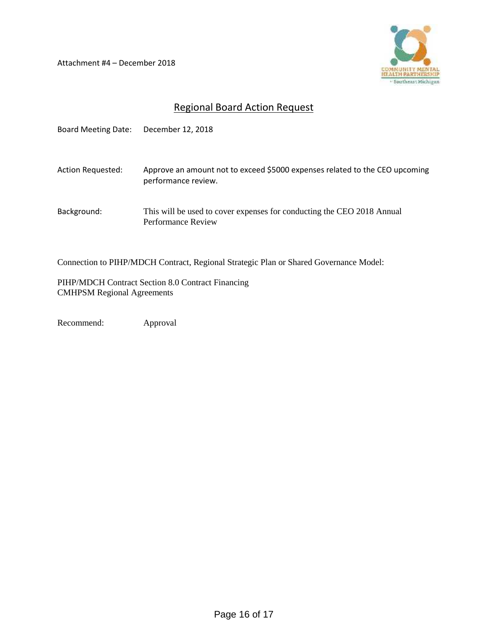Attachment #4 – December 2018



# Regional Board Action Request

| <b>Board Meeting Date:</b> | December 12, 2018                                                                                  |
|----------------------------|----------------------------------------------------------------------------------------------------|
| Action Requested:          | Approve an amount not to exceed \$5000 expenses related to the CEO upcoming<br>performance review. |
| Background:                | This will be used to cover expenses for conducting the CEO 2018 Annual<br>Performance Review       |

Connection to PIHP/MDCH Contract, Regional Strategic Plan or Shared Governance Model:

PIHP/MDCH Contract Section 8.0 Contract Financing CMHPSM Regional Agreements

Recommend: Approval